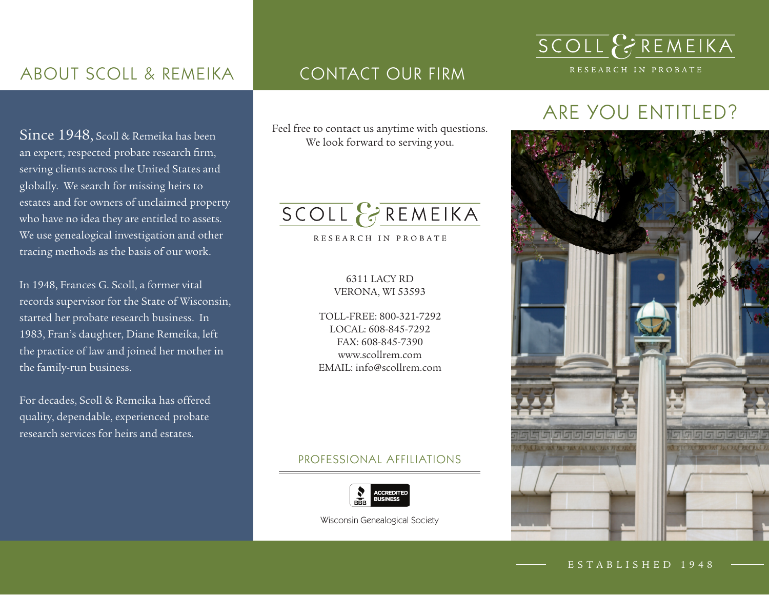## ABOUT SCOLL & REMEIKA

Since 1948, Scoll & Remeika has been an expert, respected probate research firm, serving clients across the United States and globally. We search for missing heirs to estates and for owners of unclaimed property who have no idea they are entitled to assets. We use genealogical investigation and other tracing methods as the basis of our work.

In 1948, Frances G. Scoll, a former vital records supervisor for the State of Wisconsin, started her probate research business. In 1983, Fran's daughter, Diane Remeika, left the practice of law and joined her mother in the family-run business.

For decades, Scoll & Remeika has offered quality, dependable, experienced probate research services for heirs and estates.

### CONTACT OUR FIRM

Feel free to contact us anytime with questions. We look forward to serving you.

# SCOLL & REMEIKA

RESEARCH IN PROBATE

#### 6311 LACY RD VERONA, WI 53593

TOLL-FREE: 800-321-7292 LOCAL: 608-845-7292 FAX: 608-845-7390 www.scollrem.com EMAIL: info@scollrem.com

#### PROFESSIONAL AFFILIATIONS



Wisconsin Genealogical Society

# ARE YOU ENTITLED?

SCOLL & REMEIKA

RESEARCH IN PROBATE